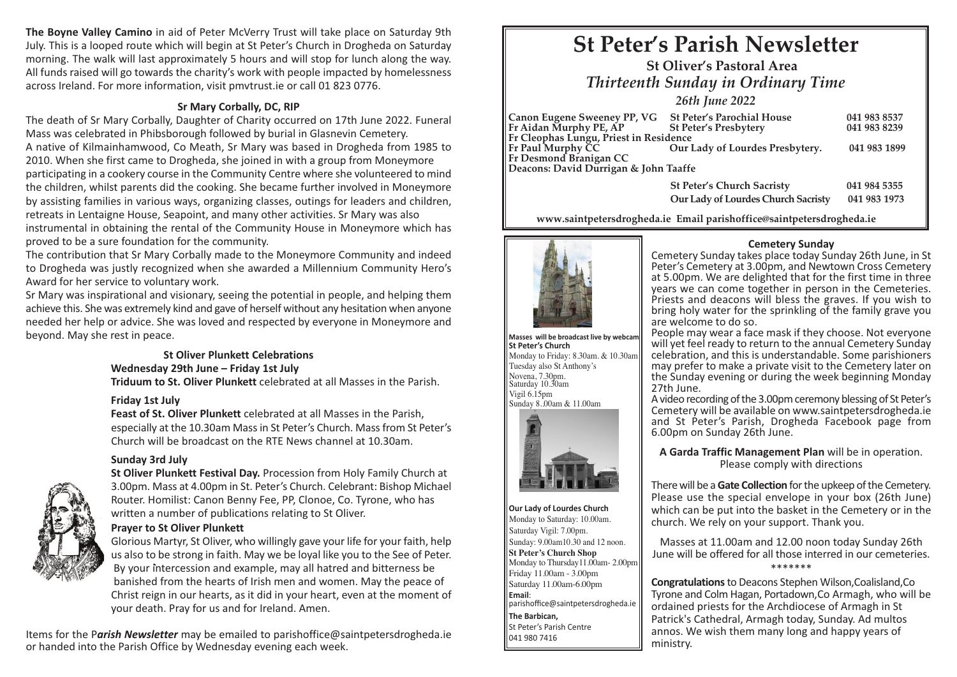**The Boyne Valley Camino** in aid of Peter McVerry Trust will take place on Saturday 9th July. This is a looped route which will begin at St Peter's Church in Drogheda on Saturday morning. The walk will last approximately 5 hours and will stop for lunch along the way. All funds raised will go towards the charity's work with people impacted by homelessness across Ireland. For more information, visit pmvtrust.ie or call 01 823 0776.

# **Sr Mary Corbally, DC, RIP**

The death of Sr Mary Corbally, Daughter of Charity occurred on 17th June 2022. Funeral Mass was celebrated in Phibsborough followed by burial in Glasnevin Cemetery. A native of Kilmainhamwood, Co Meath, Sr Mary was based in Drogheda from 1985 to 2010. When she first came to Drogheda, she joined in with a group from Moneymore participating in a cookery course in the Community Centre where she volunteered to mind the children, whilst parents did the cooking. She became further involved in Moneymore by assisting families in various ways, organizing classes, outings for leaders and children, retreats in Lentaigne House, Seapoint, and many other activities. Sr Mary was also instrumental in obtaining the rental of the Community House in Moneymore which has proved to be a sure foundation for the community.

The contribution that Sr Mary Corbally made to the Moneymore Community and indeed to Drogheda was justly recognized when she awarded a Millennium Community Hero's Award for her service to voluntary work.

Sr Mary was inspirational and visionary, seeing the potential in people, and helping them achieve this. She was extremely kind and gave of herself without any hesitation when anyone needed her help or advice. She was loved and respected by everyone in Moneymore and beyond. May she rest in peace.

#### **St Oliver Plunkett Celebrations Wednesday 29th June – Friday 1st July**

 **Triduum to St. Oliver Plunkett** celebrated at all Masses in the Parish.

# **Friday 1st July**

 **Feast of St. Oliver Plunkett** celebrated at all Masses in the Parish, especially at the 10.30am Massin St Peter's Church. Massfrom St Peter's Church will be broadcast on the RTE News channel at 10.30am.

# **Sunday 3rd July**

 **St Oliver Plunkett Festival Day.** Procession from Holy Family Church at 3.00pm. Mass at 4.00pm in St. Peter's Church. Celebrant: Bishop Michael Router. Homilist: Canon Benny Fee, PP, Clonoe, Co. Tyrone, who has written a number of publications relating to St Oliver.

# **Prayer to St Oliver Plunkett**

 Glorious Martyr, St Oliver, who willingly gave your life for your faith, help us also to be strong in faith. May we be loyal like you to the See of Peter. By your intercession and example, may all hatred and bitterness be banished from the hearts of Irish men and women. May the peace of Christ reign in our hearts, as it did in your heart, even at the moment of your death. Pray for us and for Ireland. Amen.

Items for the P*arish Newsletter* may be emailed to parishoffice@saintpetersdrogheda.ie or handed into the Parish Office by Wednesday evening each week.

# **St Peter's Parish Newsletter**

*Thirteenth Sunday in Ordinary Time* **St Oliver's Pastoral Area**

*26th June 2022*

| Canon Eugene Sweeney PP, VG St Peter's Parochial House |                                   | 041 983 8537 |
|--------------------------------------------------------|-----------------------------------|--------------|
| Fr Aidan Murphy PE, AP                                 | St Peter's Presbytery             | 041 983 8239 |
| Fr Cleophas Lungu, Priest in Residence                 |                                   |              |
| Fr Paul Murphy CC                                      | Our Lady of Lourdes Presbytery.   | 041 983 1899 |
| <b>Fr Desmond Branigan CC</b>                          |                                   |              |
| Deacons: David Durrigan & John Taaffe                  |                                   |              |
|                                                        | <b>St Peter's Church Sacristy</b> | 041 984 5355 |

**www.saintpetersdrogheda.ie Email parishoffice@saintpetersdrogheda.ie**



**Masses will be broadcast live by webcam St Peter's Church** Monday to Friday: 8.30am. & 10.30am Tuesday also St Anthony's Novena, 7.30pm. Saturday 10.30am Vigil 6.15pm Sunday 8..00am & 11.00am



**Our Lady of Lourdes Church** Monday to Saturday: 10.00am. Saturday Vigil: 7.00pm. Sunday: 9.00am10.30 and 12 noon. **St Peter's Church Shop** Monday to Thursday11.00am- 2.00pm Friday 11.00am - 3.00pm Saturday 11.00am-6.00pm **Email**: parishoffice@saintpetersdrogheda.ie **The Barbican,** St Peter's Parish Centre 041 980 7416

# **Cemetery Sunday**

**Our Lady of Lourdes Church Sacristy 041 983 1973**

Cemetery Sunday takes place today Sunday 26th June, in St Peter's Cemetery at 3.00pm, and Newtown Cross Cemetery at 5.00pm. We are delighted that for the first time in three Priests and deacons will bless the graves. If you wish to bring holy water for the sprinkling of the family grave you are welcome to do so.

People may wear a face mask if they choose. Not everyone will yet feel ready to return to the annual Cemetery Sunday celebration, and this is understandable. Some parishioners may prefer to make a private visit to the Cemetery later on the Sunday evening or during the week beginning Monday<br>27th June.

A video recording of the 3.00pm ceremony blessing of St Peter's Cemetery will be available on www.saintpetersdrogheda.ie and St Peter's Parish, Drogheda Facebook page from 6.00pm on Sunday 26th June.

**A Garda Traffic Management Plan** will be in operation. Please comply with directions

There will be a **Gate Collection** for the upkeep of the Cemetery. Please use the special envelope in your box (26th June) which can be put into the basket in the Cemetery or in the church. We rely on your support. Thank you.

Masses at 11.00am and 12.00 noon today Sunday 26th June will be offered for all those interred in our cemeteries. \*\*\*\*\*\*\*

**Congratulations**to Deacons Stephen Wilson,Coalisland,Co Tyrone and Colm Hagan, Portadown,Co Armagh, who will be ordained priests for the Archdiocese of Armagh in St Patrick's Cathedral, Armagh today, Sunday. Ad multos annos. We wish them many long and happy years of ministry.